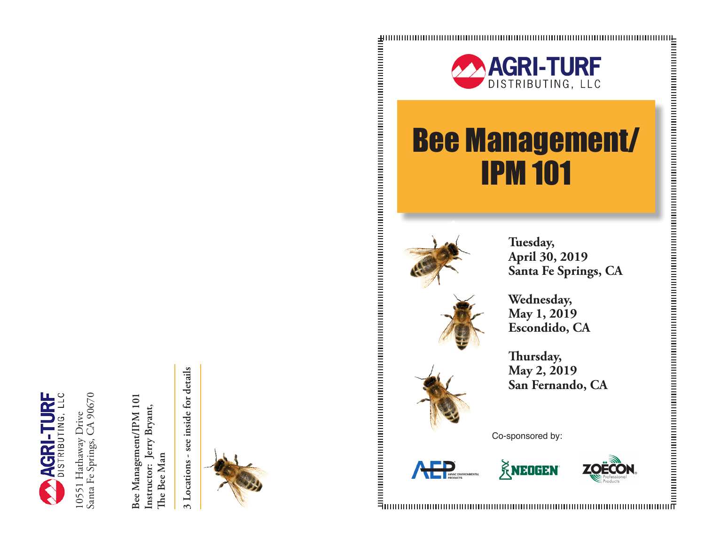

10551 Hathaway Drive<br>Santa Fe Springs, CA 90670 Santa Fe Springs, CA 90670 10551 Hathaway Drive

Bee Management/IPM 101 **Bee Management/IPM 101 Instructor: Jerry Bryant,**  Instructor: Jerry Bryant, The Bee Man **The Bee Man**

3 Locations - see inside for details **3 Locations - see inside for details**





## Bee Management/ IPM 101



**Tuesday, April 30, 2019 Santa Fe Springs, CA**

**Wednesday, May 1, 2019 Escondido, CA**

**Thursday, May 2, 2019 San Fernando, CA**

Co-sponsored by: